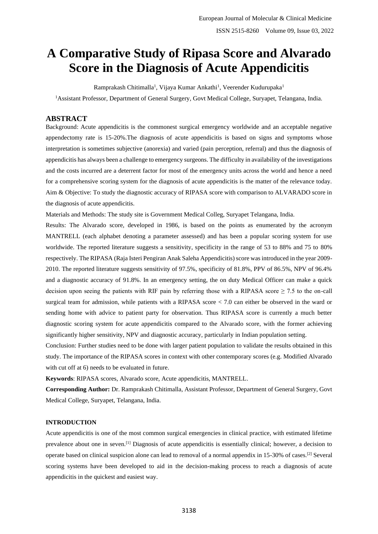# **A Comparative Study of Ripasa Score and Alvarado Score in the Diagnosis of Acute Appendicitis**

Ramprakash Chitimalla<sup>1</sup>, Vijaya Kumar Ankathi<sup>1</sup>, Veerender Kudurupaka<sup>1</sup>

<sup>1</sup>Assistant Professor, Department of General Surgery, Govt Medical College, Suryapet, Telangana, India.

# **ABSTRACT**

Background: Acute appendicitis is the commonest surgical emergency worldwide and an acceptable negative appendectomy rate is 15-20%.The diagnosis of acute appendicitis is based on signs and symptoms whose interpretation is sometimes subjective (anorexia) and varied (pain perception, referral) and thus the diagnosis of appendicitis has always been a challenge to emergency surgeons. The difficulty in availability of the investigations and the costs incurred are a deterrent factor for most of the emergency units across the world and hence a need for a comprehensive scoring system for the diagnosis of acute appendicitis is the matter of the relevance today. Aim & Objective: To study the diagnostic accuracy of RIPASA score with comparison to ALVARADO score in the diagnosis of acute appendicitis.

Materials and Methods: The study site is Government Medical Colleg, Suryapet Telangana, India.

Results: The Alvarado score, developed in 1986, is based on the points as enumerated by the acronym MANTRELL (each alphabet denoting a parameter assessed) and has been a popular scoring system for use worldwide. The reported literature suggests a sensitivity, specificity in the range of 53 to 88% and 75 to 80% respectively. The RIPASA (Raja Isteri Pengiran Anak Saleha Appendicitis) score was introduced in the year 2009- 2010. The reported literature suggests sensitivity of 97.5%, specificity of 81.8%, PPV of 86.5%, NPV of 96.4% and a diagnostic accuracy of 91.8%. In an emergency setting, the on duty Medical Officer can make a quick decision upon seeing the patients with RIF pain by referring those with a RIPASA score  $\geq$  7.5 to the on-call surgical team for admission, while patients with a RIPASA score < 7.0 can either be observed in the ward or sending home with advice to patient party for observation. Thus RIPASA score is currently a much better diagnostic scoring system for acute appendicitis compared to the Alvarado score, with the former achieving significantly higher sensitivity, NPV and diagnostic accuracy, particularly in Indian population setting.

Conclusion: Further studies need to be done with larger patient population to validate the results obtained in this study. The importance of the RIPASA scores in context with other contemporary scores (e.g. Modified Alvarado with cut off at 6) needs to be evaluated in future.

**Keywords**: RIPASA scores, Alvarado score, Acute appendicitis, MANTRELL.

**Corresponding Author:** Dr. Ramprakash Chitimalla, Assistant Professor, Department of General Surgery, Govt Medical College, Suryapet, Telangana, India.

## **INTRODUCTION**

Acute appendicitis is one of the most common surgical emergencies in clinical practice, with estimated lifetime prevalence about one in seven.[1] Diagnosis of acute appendicitis is essentially clinical; however, a decision to operate based on clinical suspicion alone can lead to removal of a normal appendix in 15-30% of cases.[2] Several scoring systems have been developed to aid in the decision-making process to reach a diagnosis of acute appendicitis in the quickest and easiest way.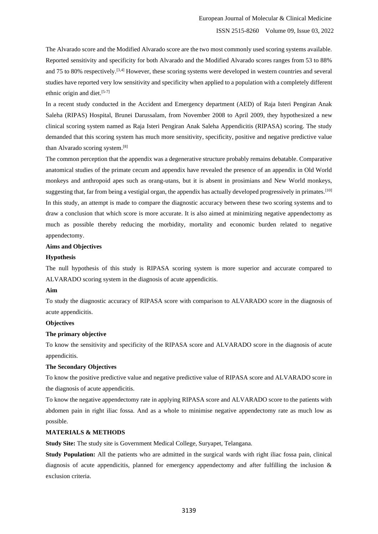The Alvarado score and the Modified Alvarado score are the two most commonly used scoring systems available. Reported sensitivity and specificity for both Alvarado and the Modified Alvarado scores ranges from 53 to 88% and 75 to 80% respectively.[3,4] However, these scoring systems were developed in western countries and several studies have reported very low sensitivity and specificity when applied to a population with a completely different ethnic origin and diet.[5-7]

In a recent study conducted in the Accident and Emergency department (AED) of Raja Isteri Pengiran Anak Saleha (RIPAS) Hospital, Brunei Darussalam, from November 2008 to April 2009, they hypothesized a new clinical scoring system named as Raja Isteri Pengiran Anak Saleha Appendicitis (RIPASA) scoring. The study demanded that this scoring system has much more sensitivity, specificity, positive and negative predictive value than Alvarado scoring system.[8]

The common perception that the appendix was a degenerative structure probably remains debatable. Comparative anatomical studies of the primate cecum and appendix have revealed the presence of an appendix in Old World monkeys and anthropoid apes such as orang-utans, but it is absent in prosimians and New World monkeys, suggesting that, far from being a vestigial organ, the appendix has actually developed progressively in primates.<sup>[10]</sup> In this study, an attempt is made to compare the diagnostic accuracy between these two scoring systems and to draw a conclusion that which score is more accurate. It is also aimed at minimizing negative appendectomy as much as possible thereby reducing the morbidity, mortality and economic burden related to negative appendectomy.

#### **Aims and Objectives**

#### **Hypothesis**

The null hypothesis of this study is RIPASA scoring system is more superior and accurate compared to ALVARADO scoring system in the diagnosis of acute appendicitis.

## **Aim**

To study the diagnostic accuracy of RIPASA score with comparison to ALVARADO score in the diagnosis of acute appendicitis.

#### **Objectives**

#### **The primary objective**

To know the sensitivity and specificity of the RIPASA score and ALVARADO score in the diagnosis of acute appendicitis.

#### **The Secondary Objectives**

To know the positive predictive value and negative predictive value of RIPASA score and ALVARADO score in the diagnosis of acute appendicitis.

To know the negative appendectomy rate in applying RIPASA score and ALVARADO score to the patients with abdomen pain in right iliac fossa. And as a whole to minimise negative appendectomy rate as much low as possible.

#### **MATERIALS & METHODS**

**Study Site:** The study site is Government Medical College, Suryapet, Telangana.

**Study Population:** All the patients who are admitted in the surgical wards with right iliac fossa pain, clinical diagnosis of acute appendicitis, planned for emergency appendectomy and after fulfilling the inclusion  $\&$ exclusion criteria.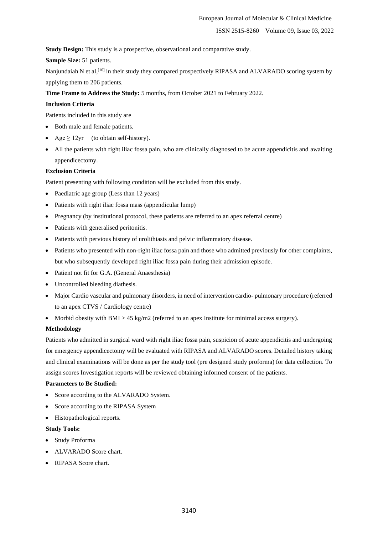**Study Design:** This study is a prospective, observational and comparative study.

**Sample Size:** 51 patients.

Nanjundaiah N et al,<sup>[10]</sup> in their study they compared prospectively RIPASA and ALVARADO scoring system by applying them to 206 patients.

**Time Frame to Address the Study:** 5 months, from October 2021 to February 2022.

#### **Inclusion Criteria**

Patients included in this study are

- Both male and female patients.
- $Age \geq 12$ yr (to obtain self-history).
- All the patients with right iliac fossa pain, who are clinically diagnosed to be acute appendicitis and awaiting appendicectomy.

## **Exclusion Criteria**

Patient presenting with following condition will be excluded from this study.

- Paediatric age group (Less than 12 years)
- Patients with right iliac fossa mass (appendicular lump)
- Pregnancy (by institutional protocol, these patients are referred to an apex referral centre)
- Patients with generalised peritonitis.
- Patients with pervious history of urolithiasis and pelvic inflammatory disease.
- Patients who presented with non-right iliac fossa pain and those who admitted previously for other complaints, but who subsequently developed right iliac fossa pain during their admission episode.
- Patient not fit for G.A. (General Anaesthesia)
- Uncontrolled bleeding diathesis.
- Major Cardio vascular and pulmonary disorders, in need of intervention cardio- pulmonary procedure (referred to an apex CTVS / Cardiology centre)
- Morbid obesity with BMI  $> 45 \text{ kg/m2}$  (referred to an apex Institute for minimal access surgery).

#### **Methodology**

Patients who admitted in surgical ward with right iliac fossa pain, suspicion of acute appendicitis and undergoing for emergency appendicectomy will be evaluated with RIPASA and ALVARADO scores. Detailed history taking and clinical examinations will be done as per the study tool (pre designed study proforma) for data collection. To assign scores Investigation reports will be reviewed obtaining informed consent of the patients.

#### **Parameters to Be Studied:**

- Score according to the ALVARADO System.
- Score according to the RIPASA System
- Histopathological reports.

#### **Study Tools:**

- Study Proforma
- ALVARADO Score chart.
- RIPASA Score chart.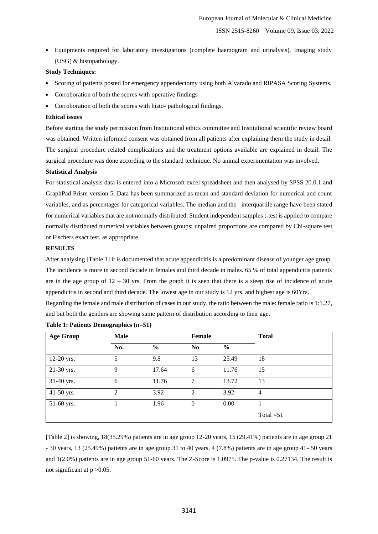• Equipments required for laboratory investigations (complete haemogram and urinalysis), Imaging study (USG) & histopathology.

#### **Study Techniques:**

- Scoring of patients posted for emergency appendectomy using both Alvarado and RIPASA Scoring Systems.
- Corroboration of both the scores with operative findings
- Corroboration of both the scores with histo- pathological findings.

#### **Ethical issues**

Before starting the study permission from Institutional ethics committee and Institutional scientific review board was obtained. Written informed consent was obtained from all patients after explaining them the study in detail. The surgical procedure related complications and the treatment options available are explained in detail. The surgical procedure was done according to the standard technique. No animal experimentation was involved.

#### **Statistical Analysis**

For statistical analysis data is entered into a Microsoft excel spreadsheet and then analysed by SPSS 20.0.1 and GraphPad Prism version 5. Data has been summarized as mean and standard deviation for numerical and count variables, and as percentages for categorical variables. The median and the interquartile range have been stated for numerical variables that are not normally distributed. Student independent samples t-test is applied to compare normally distributed numerical variables between groups; unpaired proportions are compared by Chi-square test or Fischers exact test, as appropriate.

## **RESULTS**

After analysing [Table 1] it is documented that acute appendicitis is a predominant disease of younger age group. The incidence is more in second decade in females and third decade in males. 65 % of total appendicitis patients are in the age group of  $12 - 30$  yrs. From the graph it is seen that there is a steep rise of incidence of acute appendicitis in second and third decade. The lowest age in our study is 12 yrs. and highest age is 60Yrs.

Regarding the female and male distribution of cases in our study, the ratio between the male: female ratio is 1:1.27, and but both the genders are showing same pattern of distribution according to their age.

| <b>Age Group</b> | <b>Male</b>    |               | Female         |               | <b>Total</b>   |
|------------------|----------------|---------------|----------------|---------------|----------------|
|                  | No.            | $\frac{6}{6}$ | N <sub>0</sub> | $\frac{6}{9}$ |                |
| 12-20 yrs.       | 5              | 9.8           | 13             | 25.49         | 18             |
| 21-30 yrs.       | 9              | 17.64         | 6              | 11.76         | 15             |
| 31-40 yrs.       | 6              | 11.76         | $\overline{7}$ | 13.72         | 13             |
| 41-50 yrs.       | $\overline{2}$ | 3.92          | 2              | 3.92          | $\overline{4}$ |
| 51-60 yrs.       |                | 1.96          | $\mathbf{0}$   | 0.00          |                |
|                  |                |               |                |               | Total $=51$    |

#### **Table 1: Patients Demographics (n=51)**

[Table 2] is showing, 18(35.29%) patients are in age group 12-20 years, 15 (29.41%) patients are in age group 21 - 30 years, 13 (25.49%) patients are in age group 31 to 40 years, 4 (7.8%) patients are in age group 41- 50 years and 1(2.0%) patients are in age group 51-60 years. The Z-Score is 1.0975. The p-value is 0.27134. The result is not significant at  $p > 0.05$ .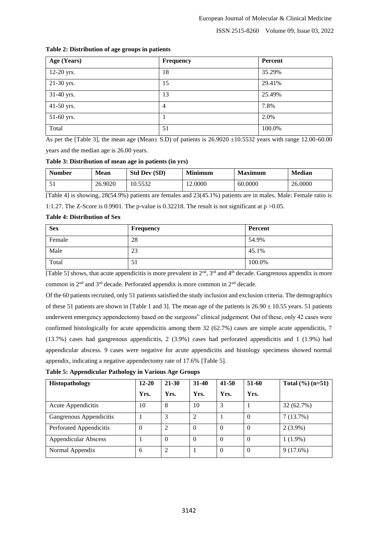| Age (Years) | Frequency      | Percent |
|-------------|----------------|---------|
| 12-20 yrs.  | 18             | 35.29%  |
| 21-30 yrs.  | 15             | 29.41%  |
| 31-40 yrs.  | 13             | 25.49%  |
| 41-50 yrs.  | $\overline{4}$ | 7.8%    |
| 51-60 yrs.  |                | 2.0%    |
| Total       | 51             | 100.0%  |

## **Table 2: Distribution of age groups in patients**

As per the [Table 3], the mean age (Mean $\pm$  S.D) of patients is 26.9020  $\pm$ 10.5532 years with range 12.00-60.00 years and the median age is 26.00 years.

## **Table 3: Distribution of mean age in patients (in yrs)**

| <b>Number</b> | <b>Mean</b> | <b>Std Dev (SD)</b> | Minimum | <b>Maximum</b> | <b>Median</b> |
|---------------|-------------|---------------------|---------|----------------|---------------|
| ◡             | 26.9020     | 10.5532             | .2.0000 | 60.0000        | 26.0000       |

[Table 4] is showing, 28(54.9%) patients are females and 23(45.1%) patients are in males. Male: Female ratio is

1:1.27. The Z-Score is 0.9901. The p-value is 0.32218. The result is not significant at  $p > 0.05$ .

## **Table 4: Distribution of Sex**

| <b>Sex</b> | <b>Frequency</b> | Percent |
|------------|------------------|---------|
| Female     | 28               | 54.9%   |
| Male       | 23               | 45.1%   |
| Total      | $\supset$        | 100.0%  |

[Table 5] shows, that acute appendicitis is more prevalent in  $2<sup>nd</sup>$ ,  $3<sup>rd</sup>$  and  $4<sup>th</sup>$  decade. Gangrenous appendix is more common in 2nd and 3rd decade. Perforated appendix is more common in 2nd decade.

Of the 60 patients recruited, only 51 patients satisfied the study inclusion and exclusion criteria. The demographics of these 51 patients are shown in [Table 1 and 3]. The mean age of the patients is  $26.90 \pm 10.55$  years. 51 patients underwent emergency appendectomy based on the surgeons" clinical judgement. Out of these, only 42 cases were confirmed histologically for acute appendicitis among them 32 (62.7%) cases are simple acute appendicitis, 7 (13.7%) cases had gangrenous appendicitis, 2 (3.9%) cases had perforated appendicitis and 1 (1.9%) had appendicular abscess. 9 cases were negative for acute appendicitis and histology specimens showed normal appendix, indicating a negative appendectomy rate of 17.6% [Table 5].

| Table 5: Appendicular Pathology in Various Age Groups |
|-------------------------------------------------------|
|-------------------------------------------------------|

| <b>Histopathology</b>       | $12 - 20$ | 21-30          | $31-40$        | 41-50    | 51-60    | Total $(\frac{6}{6})$ (n=51) |
|-----------------------------|-----------|----------------|----------------|----------|----------|------------------------------|
|                             | Yrs.      | Yrs.           | Yrs.           | Yrs.     | Yrs.     |                              |
| Acute Appendicitis          | 10        | 8              | 10             | 3        |          | 32 (62.7%)                   |
| Gangrenous Appendicitis     |           |                | $\overline{2}$ |          | $\Omega$ | 7(13.7%)                     |
| Perforated Appendicitis     | $\Omega$  | 2              | $\Omega$       | $\Omega$ | $\Omega$ | $2(3.9\%)$                   |
| <b>Appendicular Abscess</b> |           | $\Omega$       | $\Omega$       | $\Omega$ | $\Omega$ | $1(1.9\%)$                   |
| Normal Appendix             | 6         | $\overline{c}$ |                | $\Omega$ | $\Omega$ | 9(17.6%)                     |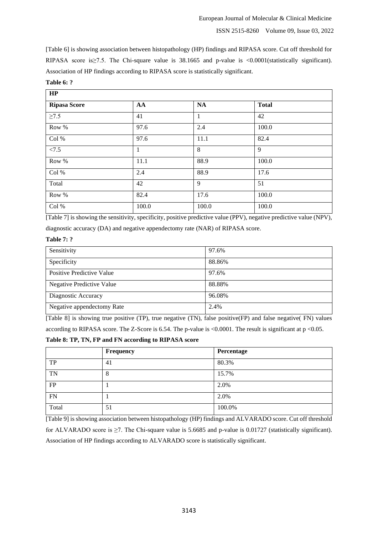[Table 6] is showing association between histopathology (HP) findings and RIPASA score. Cut off threshold for RIPASA score is≥7.5. The Chi-square value is 38.1665 and p-value is <0.0001(statistically significant). Association of HP findings according to RIPASA score is statistically significant.

| HP                  |              |              |              |  |
|---------------------|--------------|--------------|--------------|--|
| <b>Ripasa Score</b> | AA           | <b>NA</b>    | <b>Total</b> |  |
| $\geq 7.5$          | 41           | $\mathbf{1}$ | 42           |  |
| Row %               | 97.6         | 2.4          | 100.0        |  |
| Col %               | 97.6         | 11.1         | 82.4         |  |
| < 7.5               | $\mathbf{1}$ | 8            | 9            |  |
| Row %               | 11.1         | 88.9         | 100.0        |  |
| Col %               | 2.4          | 88.9         | 17.6         |  |
| Total               | 42           | 9            | 51           |  |
| Row %               | 82.4         | 17.6         | 100.0        |  |
| Col %               | 100.0        | 100.0        | 100.0        |  |

**Table 6: ?**

[Table 7] is showing the sensitivity, specificity, positive predictive value (PPV), negative predictive value (NPV),

diagnostic accuracy (DA) and negative appendectomy rate (NAR) of RIPASA score.

## **Table 7: ?**

| Sensitivity                      | 97.6%  |
|----------------------------------|--------|
| Specificity                      | 88.86% |
| Positive Predictive Value        | 97.6%  |
| <b>Negative Predictive Value</b> | 88.88% |
| Diagnostic Accuracy              | 96.08% |
| Negative appendectomy Rate       | 2.4%   |

[Table 8] is showing true positive (TP), true negative (TN), false positive(FP) and false negative( FN) values

according to RIPASA score. The Z-Score is 6.54. The p-value is <0.0001. The result is significant at p <0.05.

**Table 8: TP, TN, FP and FN according to RIPASA score**

|           | Frequency | Percentage |
|-----------|-----------|------------|
| TP        | 41        | 80.3%      |
| <b>TN</b> | 8         | 15.7%      |
| FP        |           | 2.0%       |
| <b>FN</b> |           | 2.0%       |
| Total     | 51        | 100.0%     |

[Table 9] is showing association between histopathology (HP) findings and ALVARADO score. Cut off threshold for ALVARADO score is ≥7. The Chi-square value is 5.6685 and p-value is 0.01727 (statistically significant). Association of HP findings according to ALVARADO score is statistically significant.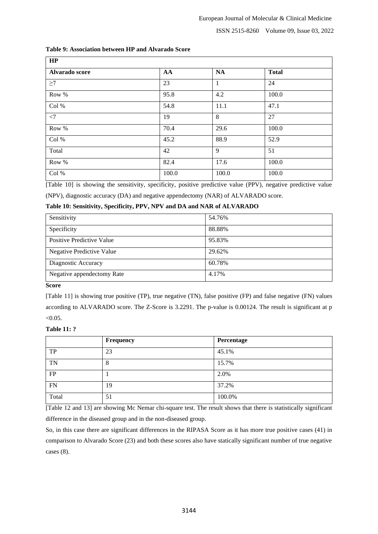| HP             |       |           |              |
|----------------|-------|-----------|--------------|
| Alvarado score | AA    | <b>NA</b> | <b>Total</b> |
| $\geq$ 7       | 23    | 1         | 24           |
| Row %          | 95.8  | 4.2       | 100.0        |
| Col %          | 54.8  | 11.1      | 47.1         |
| $<$ 7          | 19    | 8         | 27           |
| Row %          | 70.4  | 29.6      | 100.0        |
| Col %          | 45.2  | 88.9      | 52.9         |
| Total          | 42    | 9         | 51           |
| Row %          | 82.4  | 17.6      | 100.0        |
| Col %          | 100.0 | 100.0     | 100.0        |

## **Table 9: Association between HP and Alvarado Score**

[Table 10] is showing the sensitivity, specificity, positive predictive value (PPV), negative predictive value

(NPV), diagnostic accuracy (DA) and negative appendectomy (NAR) of ALVARADO score.

## **Table 10: Sensitivity, Specificity, PPV, NPV and DA and NAR of ALVARADO**

| Sensitivity                      | 54.76% |
|----------------------------------|--------|
| Specificity                      | 88.88% |
| Positive Predictive Value        | 95.83% |
| <b>Negative Predictive Value</b> | 29.62% |
| Diagnostic Accuracy              | 60.78% |
| Negative appendectomy Rate       | 4.17%  |

# **Score**

[Table 11] is showing true positive (TP), true negative (TN), false positive (FP) and false negative (FN) values according to ALVARADO score. The Z-Score is 3.2291. The p-value is 0.00124. The result is significant at p  $< 0.05$ .

## **Table 11: ?**

|           | Frequency | Percentage |
|-----------|-----------|------------|
| TP        | 23        | 45.1%      |
| TN        | 8         | 15.7%      |
| FP        |           | 2.0%       |
| <b>FN</b> | 19        | 37.2%      |
| Total     | 51        | 100.0%     |

[Table 12 and 13] are showing Mc Nemar chi-square test. The result shows that there is statistically significant difference in the diseased group and in the non-diseased group.

So, in this case there are significant differences in the RIPASA Score as it has more true positive cases (41) in comparison to Alvarado Score (23) and both these scores also have statically significant number of true negative cases (8).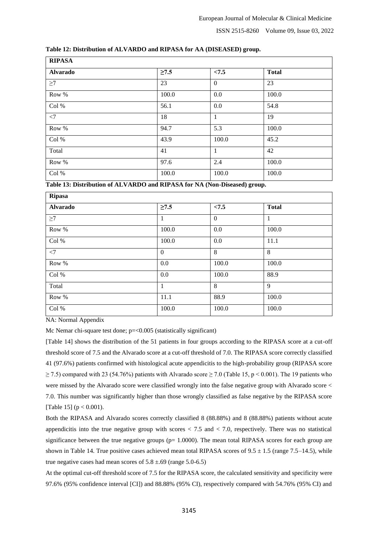| Table 12: Distribution of ALVARDO and RIPASA for AA (DISEASED) group. |  |  |  |
|-----------------------------------------------------------------------|--|--|--|
|-----------------------------------------------------------------------|--|--|--|

| <b>RIPASA</b>   |            |                |              |  |  |
|-----------------|------------|----------------|--------------|--|--|
| <b>Alvarado</b> | $\geq 7.5$ | < 7.5          | <b>Total</b> |  |  |
| $\geq$ 7        | 23         | $\overline{0}$ | 23           |  |  |
| Row %           | 100.0      | 0.0            | 100.0        |  |  |
| Col %           | 56.1       | 0.0            | 54.8         |  |  |
| $<$ 7           | 18         | $\mathbf{1}$   | 19           |  |  |
| Row %           | 94.7       | 5.3            | 100.0        |  |  |
| Col %           | 43.9       | 100.0          | 45.2         |  |  |
| Total           | 41         | $\mathbf{1}$   | 42           |  |  |
| Row %           | 97.6       | 2.4            | 100.0        |  |  |
| Col %           | 100.0      | 100.0          | 100.0        |  |  |

**Table 13: Distribution of ALVARDO and RIPASA for NA (Non-Diseased) group.**

| <b>Ripasa</b>   |              |          |              |  |  |
|-----------------|--------------|----------|--------------|--|--|
| <b>Alvarado</b> | $\geq 7.5$   | < 7.5    | <b>Total</b> |  |  |
| $\geq$ 7        | 1            | $\theta$ | $\mathbf{1}$ |  |  |
| Row %           | 100.0        | 0.0      | 100.0        |  |  |
| Col %           | 100.0        | 0.0      | 11.1         |  |  |
| $<$ 7           | $\mathbf{0}$ | 8        | 8            |  |  |
| Row %           | 0.0          | 100.0    | 100.0        |  |  |
| Col %           | 0.0          | 100.0    | 88.9         |  |  |
| Total           | $\mathbf{1}$ | 8        | $\mathbf{Q}$ |  |  |
| Row %           | 11.1         | 88.9     | 100.0        |  |  |
| Col %           | 100.0        | 100.0    | 100.0        |  |  |

NA: Normal Appendix

Mc Nemar chi-square test done; p=<0.005 (statistically significant)

[Table 14] shows the distribution of the 51 patients in four groups according to the RIPASA score at a cut-off threshold score of 7.5 and the Alvarado score at a cut-off threshold of 7.0. The RIPASA score correctly classified 41 (97.6%) patients confirmed with histological acute appendicitis to the high-probability group (RIPASA score  $\geq$  7.5) compared with 23 (54.76%) patients with Alvarado score  $\geq$  7.0 (Table 15, p < 0.001). The 19 patients who were missed by the Alvarado score were classified wrongly into the false negative group with Alvarado score < 7.0. This number was significantly higher than those wrongly classified as false negative by the RIPASA score [Table 15] ( $p < 0.001$ ).

Both the RIPASA and Alvarado scores correctly classified 8 (88.88%) and 8 (88.88%) patients without acute appendicitis into the true negative group with scores  $< 7.5$  and  $< 7.0$ , respectively. There was no statistical significance between the true negative groups ( $p= 1.0000$ ). The mean total RIPASA scores for each group are shown in Table 14. True positive cases achieved mean total RIPASA scores of  $9.5 \pm 1.5$  (range 7.5–14.5), while true negative cases had mean scores of  $5.8 \pm .69$  (range  $5.0 \text{-} 6.5$ )

At the optimal cut-off threshold score of 7.5 for the RIPASA score, the calculated sensitivity and specificity were 97.6% (95% confidence interval [CI]) and 88.88% (95% CI), respectively compared with 54.76% (95% CI) and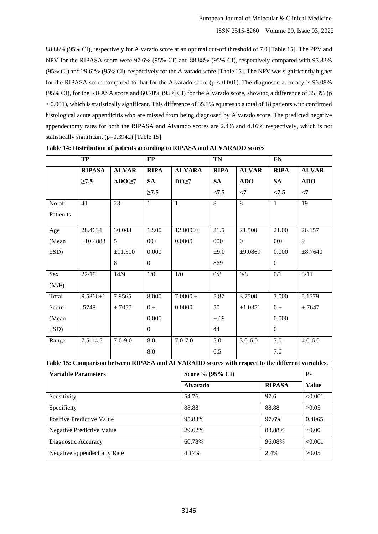88.88% (95% CI), respectively for Alvarado score at an optimal cut-off threshold of 7.0 [Table 15]. The PPV and NPV for the RIPASA score were 97.6% (95% CI) and 88.88% (95% CI), respectively compared with 95.83% (95% CI) and 29.62% (95% CI), respectively for the Alvarado score [Table 15]. The NPV was significantly higher for the RIPASA score compared to that for the Alvarado score ( $p < 0.001$ ). The diagnostic accuracy is 96.08% (95% CI), for the RIPASA score and 60.78% (95% CI) for the Alvarado score, showing a difference of 35.3% (p < 0.001), which is statistically significant. This difference of 35.3% equates to a total of 18 patients with confirmed histological acute appendicitis who are missed from being diagnosed by Alvarado score. The predicted negative appendectomy rates for both the RIPASA and Alvarado scores are 2.4% and 4.16% respectively, which is not statistically significant (p=0.3942) [Table 15].

|            | TP             |              | <b>FP</b>      |                  | <b>TN</b>   |                  | <b>FN</b>      |              |
|------------|----------------|--------------|----------------|------------------|-------------|------------------|----------------|--------------|
|            | <b>RIPASA</b>  | <b>ALVAR</b> | <b>RIPA</b>    | <b>ALVARA</b>    | <b>RIPA</b> | <b>ALVAR</b>     | <b>RIPA</b>    | <b>ALVAR</b> |
|            | $\geq 7.5$     | $ADO \ge 7$  | <b>SA</b>      | DO <sub>27</sub> | <b>SA</b>   | <b>ADO</b>       | <b>SA</b>      | <b>ADO</b>   |
|            |                |              | $\geq 7.5$     |                  | < 7.5       | $\leq$           | < 7.5          | $\leq$       |
| No of      | 41             | 23           | $\mathbf{1}$   | $\mathbf{1}$     | 8           | $\overline{8}$   | $\mathbf{1}$   | 19           |
| Patien ts  |                |              |                |                  |             |                  |                |              |
| Age        | 28.4634        | 30.043       | 12.00          | 12.0000±         | 21.5        | 21.500           | 21.00          | 26.157       |
| (Mean      | ±10.4883       | 5            | $00\pm$        | 0.0000           | 000         | $\boldsymbol{0}$ | $00\pm$        | 9            |
| $\pm SD$ ) |                | ±11.510      | 0.000          |                  | ±9.0        | ±9.0869          | 0.000          | $\pm 8.7640$ |
|            |                | 8            | $\overline{0}$ |                  | 869         |                  | $\overline{0}$ |              |
| Sex        | 22/19          | 14/9         | 1/0            | 1/0              | 0/8         | $0/8$            | 0/1            | 8/11         |
| (M/F)      |                |              |                |                  |             |                  |                |              |
| Total      | $9.5366 \pm 1$ | 7.9565       | 8.000          | $7.0000\,\pm\,$  | 5.87        | 3.7500           | 7.000          | 5.1579       |
| Score      | .5748          | ±.7057       | $0 \pm$        | 0.0000           | 50          | ±1.0351          | $0 \pm$        | ±.7647       |
| (Mean      |                |              | 0.000          |                  | ±.69        |                  | 0.000          |              |
| $\pm SD$ ) |                |              | $\theta$       |                  | 44          |                  | $\theta$       |              |
| Range      | $7.5 - 14.5$   | $7.0 - 9.0$  | $8.0 -$        | $7.0 - 7.0$      | $5.0 -$     | $3.0 - 6.0$      | $7.0 -$        | $4.0 - 6.0$  |
|            |                |              | 8.0            |                  | 6.5         |                  | 7.0            |              |

|  |  |  | Table 14: Distribution of patients according to RIPASA and ALVARADO scores |
|--|--|--|----------------------------------------------------------------------------|
|  |  |  |                                                                            |

**Table 15: Comparison between RIPASA and ALVARADO scores with respect to the different variables.**

| <b>Variable Parameters</b>       | Score % (95% CI) |               | <b>P</b> -   |
|----------------------------------|------------------|---------------|--------------|
|                                  | <b>Alvarado</b>  | <b>RIPASA</b> | <b>Value</b> |
| Sensitivity                      | 54.76            | 97.6          | < 0.001      |
| Specificity                      | 88.88            | 88.88         | >0.05        |
| <b>Positive Predictive Value</b> | 95.83%           | 97.6%         | 0.4065       |
| <b>Negative Predictive Value</b> | 29.62%           | 88.88%        | < 0.00       |
| Diagnostic Accuracy              | 60.78%           | 96.08%        | < 0.001      |
| Negative appendectomy Rate       | 4.17%            | 2.4%          | >0.05        |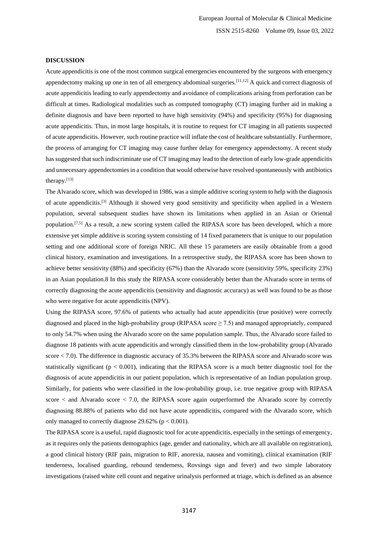#### **DISCUSSION**

Acute appendicitis is one of the most common surgical emergencies encountered by the surgeons with emergency appendectomy making up one in ten of all emergency abdominal surgeries.[11,12] A quick and correct diagnosis of acute appendicitis leading to early appendectomy and avoidance of complications arising from perforation can be difficult at times. Radiological modalities such as computed tomography (CT) imaging further aid in making a definite diagnosis and have been reported to have high sensitivity (94%) and specificity (95%) for diagnosing acute appendicitis. Thus, in most large hospitals, it is routine to request for CT imaging in all patients suspected of acute appendicitis. However, such routine practice will inflate the cost of healthcare substantially. Furthermore, the process of arranging for CT imaging may cause further delay for emergency appendectomy. A recent study has suggested that such indiscriminate use of CT imaging may lead to the detection of early low-grade appendicitis and unnecessary appendectomies in a condition that would otherwise have resolved spontaneously with antibiotics therapy.[13]

The Alvarado score, which was developed in 1986, was a simple additive scoring system to help with the diagnosis of acute appendicitis.[3] Although it showed very good sensitivity and specificity when applied in a Western population, several subsequent studies have shown its limitations when applied in an Asian or Oriental population.<sup>[7,5]</sup> As a result, a new scoring system called the RIPASA score has been developed, which a more extensive yet simple additive is scoring system consisting of 14 fixed parameters that is unique to our population setting and one additional score of foreign NRIC. All these 15 parameters are easily obtainable from a good clinical history, examination and investigations. In a retrospective study, the RIPASA score has been shown to achieve better sensitivity (88%) and specificity (67%) than the Alvarado score (sensitivity 59%, specificity 23%) in an Asian population.8 In this study the RIPASA score considerably better than the Alvarado score in terms of correctly diagnosing the acute appendicitis (sensitivity and diagnostic accuracy) as well was found to be as those who were negative for acute appendicitis (NPV).

Using the RIPASA score, 97.6% of patients who actually had acute appendicitis (true positive) were correctly diagnosed and placed in the high-probability group (RIPASA score  $\geq$  7.5) and managed appropriately, compared to only 54.7% when using the Alvarado score on the same population sample. Thus, the Alvarado score failed to diagnose 18 patients with acute appendicitis and wrongly classified them in the low-probability group (Alvarado score < 7.0). The difference in diagnostic accuracy of 35.3% between the RIPASA score and Alvarado score was statistically significant ( $p < 0.001$ ), indicating that the RIPASA score is a much better diagnostic tool for the diagnosis of acute appendicitis in our patient population, which is representative of an Indian population group. Similarly, for patients who were classified in the low-probability group, i.e. true negative group with RIPASA score  $\lt$  and Alvarado score  $\lt$  7.0, the RIPASA score again outperformed the Alvarado score by correctly diagnosing 88.88% of patients who did not have acute appendicitis, compared with the Alvarado score, which only managed to correctly diagnose  $29.62\%$  (p < 0.001).

The RIPASA score is a useful, rapid diagnostic tool for acute appendicitis, especially in the settings of emergency, as it requires only the patients demographics (age, gender and nationality, which are all available on registration), a good clinical history (RIF pain, migration to RIF, anorexia, nausea and vomiting), clinical examination (RIF tenderness, localised guarding, rebound tenderness, Rovsings sign and fever) and two simple laboratory investigations (raised white cell count and negative urinalysis performed at triage, which is defined as an absence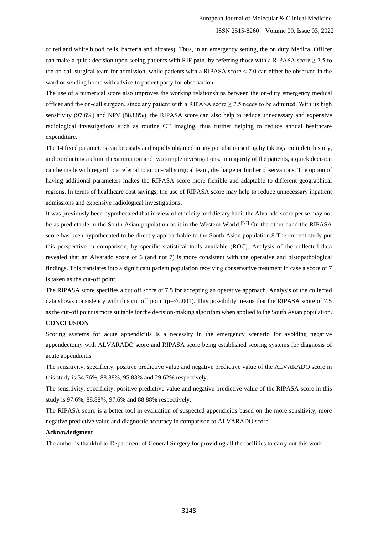of red and white blood cells, bacteria and nitrates). Thus, in an emergency setting, the on duty Medical Officer can make a quick decision upon seeing patients with RIF pain, by referring those with a RIPASA score  $\geq 7.5$  to the on-call surgical team for admission, while patients with a RIPASA score < 7.0 can either be observed in the ward or sending home with advice to patient party for observation.

The use of a numerical score also improves the working relationships between the on-duty emergency medical officer and the on-call surgeon, since any patient with a RIPASA score  $\geq$  7.5 needs to be admitted. With its high sensitivity (97.6%) and NPV (88.88%), the RIPASA score can also help to reduce unnecessary and expensive radiological investigations such as routine CT imaging, thus further helping to reduce annual healthcare expenditure.

The 14 fixed parameters can be easily and rapidly obtained in any population setting by taking a complete history, and conducting a clinical examination and two simple investigations. In majority of the patients, a quick decision can be made with regard to a referral to an on-call surgical team, discharge or further observations. The option of having additional parameters makes the RIPASA score more flexible and adaptable to different geographical regions. In terms of healthcare cost savings, the use of RIPASA score may help to reduce unnecessary inpatient admissions and expensive radiological investigations.

It was previously been hypothecated that in view of ethnicity and dietary habit the Alvarado score per se may not be as predictable in the South Asian population as it in the Western World.[5-7] On the other hand the RIPASA score has been hypothecated to be directly approachable to the South Asian population.8 The current study put this perspective in comparison, by specific statistical tools available (ROC). Analysis of the collected data revealed that an Alvarado score of 6 (and not 7) is more consistent with the operative and histopathological findings. This translates into a significant patient population receiving conservative treatment in case a score of 7 is taken as the cut-off point.

The RIPASA score specifies a cut off score of 7.5 for accepting an operative approach. Analysis of the collected data shows consistency with this cut off point ( $p = 0.001$ ). This possibility means that the RIPASA score of 7.5 as the cut-off point is more suitable for the decision-making algorithm when applied to the South Asian population.

# **CONCLUSION**

Scoring systems for acute appendicitis is a necessity in the emergency scenario for avoiding negative appendectomy with ALVARADO score and RIPASA score being established scoring systems for diagnosis of acute appendicitis

The sensitivity, specificity, positive predictive value and negative predictive value of the ALVARADO score in this study is 54.76%, 88.88%, 95.83% and 29.62% respectively.

The sensitivity, specificity, positive predictive value and negative predictive value of the RIPASA score in this study is 97.6%, 88.88%, 97.6% and 88.88% respectively.

The RIPASA score is a better tool in evaluation of suspected appendicitis based on the more sensitivity, more negative predictive value and diagnostic accuracy in comparison to ALVARADO score.

#### **Acknowledgment**

The author is thankful to Department of General Surgery for providing all the facilities to carry out this work.